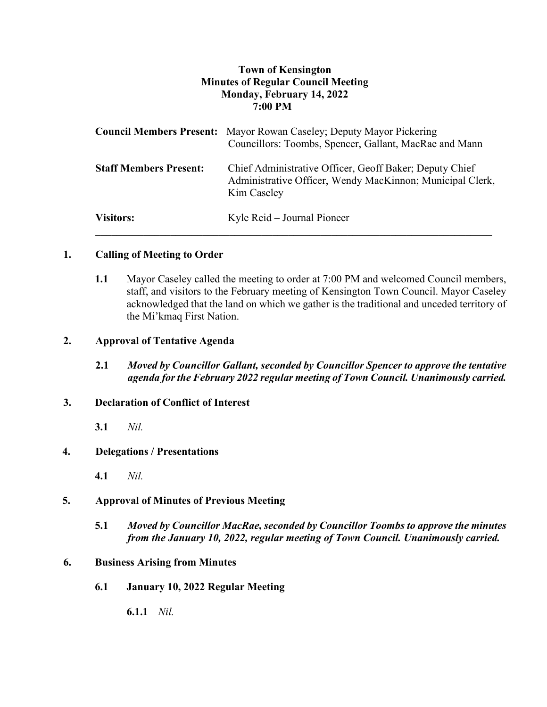# **Town of Kensington Minutes of Regular Council Meeting Monday, February 14, 2022 7:00 PM**

|                               | <b>Council Members Present:</b> Mayor Rowan Caseley; Deputy Mayor Pickering<br>Councillors: Toombs, Spencer, Gallant, MacRae and Mann |
|-------------------------------|---------------------------------------------------------------------------------------------------------------------------------------|
| <b>Staff Members Present:</b> | Chief Administrative Officer, Geoff Baker; Deputy Chief<br>Administrative Officer, Wendy MacKinnon; Municipal Clerk,<br>Kim Caseley   |
| <b>Visitors:</b>              | Kyle Reid – Journal Pioneer                                                                                                           |

## **1. Calling of Meeting to Order**

**1.1** Mayor Caseley called the meeting to order at 7:00 PM and welcomed Council members, staff, and visitors to the February meeting of Kensington Town Council. Mayor Caseley acknowledged that the land on which we gather is the traditional and unceded territory of the Mi'kmaq First Nation.

### **2. Approval of Tentative Agenda**

**2.1** *Moved by Councillor Gallant, seconded by Councillor Spencer to approve the tentative agenda for the February 2022 regular meeting of Town Council. Unanimously carried.*

### **3. Declaration of Conflict of Interest**

**3.1** *Nil.*

### **4. Delegations / Presentations**

**4.1** *Nil.*

### **5. Approval of Minutes of Previous Meeting**

**5.1** *Moved by Councillor MacRae, seconded by Councillor Toombs to approve the minutes from the January 10, 2022, regular meeting of Town Council. Unanimously carried.*

### **6. Business Arising from Minutes**

**6.1 January 10, 2022 Regular Meeting** 

**6.1.1** *Nil.*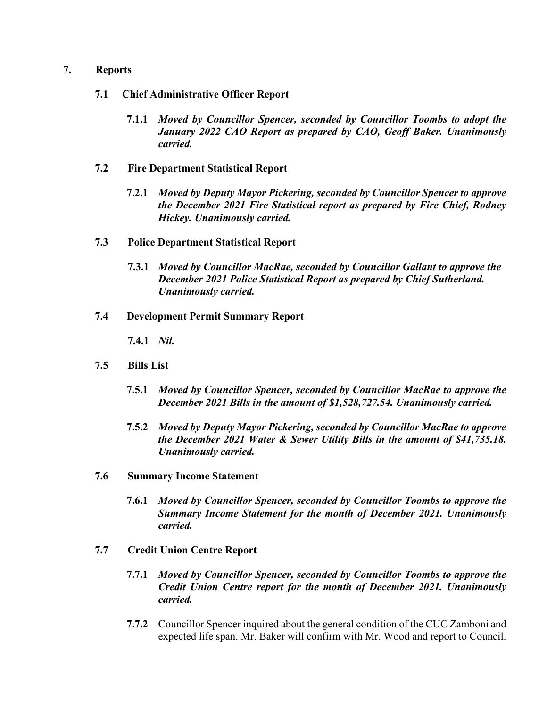### **7. Reports**

- **7.1 Chief Administrative Officer Report**
	- **7.1.1** *Moved by Councillor Spencer, seconded by Councillor Toombs to adopt the January 2022 CAO Report as prepared by CAO, Geoff Baker. Unanimously carried.*
- **7.2 Fire Department Statistical Report**
	- **7.2.1** *Moved by Deputy Mayor Pickering, seconded by Councillor Spencer to approve the December 2021 Fire Statistical report as prepared by Fire Chief, Rodney Hickey. Unanimously carried.*
- **7.3 Police Department Statistical Report**
	- **7.3.1** *Moved by Councillor MacRae, seconded by Councillor Gallant to approve the December 2021 Police Statistical Report as prepared by Chief Sutherland. Unanimously carried.*
- **7.4 Development Permit Summary Report**

**7.4.1** *Nil.*

- **7.5 Bills List** 
	- **7.5.1** *Moved by Councillor Spencer, seconded by Councillor MacRae to approve the December 2021 Bills in the amount of \$1,528,727.54. Unanimously carried.*
	- **7.5.2** *Moved by Deputy Mayor Pickering, seconded by Councillor MacRae to approve the December 2021 Water & Sewer Utility Bills in the amount of \$41,735.18. Unanimously carried.*
- **7.6 Summary Income Statement**
	- **7.6.1** *Moved by Councillor Spencer, seconded by Councillor Toombs to approve the Summary Income Statement for the month of December 2021. Unanimously carried.*
- **7.7 Credit Union Centre Report**
	- **7.7.1** *Moved by Councillor Spencer, seconded by Councillor Toombs to approve the Credit Union Centre report for the month of December 2021. Unanimously carried.*
	- **7.7.2** Councillor Spencer inquired about the general condition of the CUC Zamboni and expected life span. Mr. Baker will confirm with Mr. Wood and report to Council.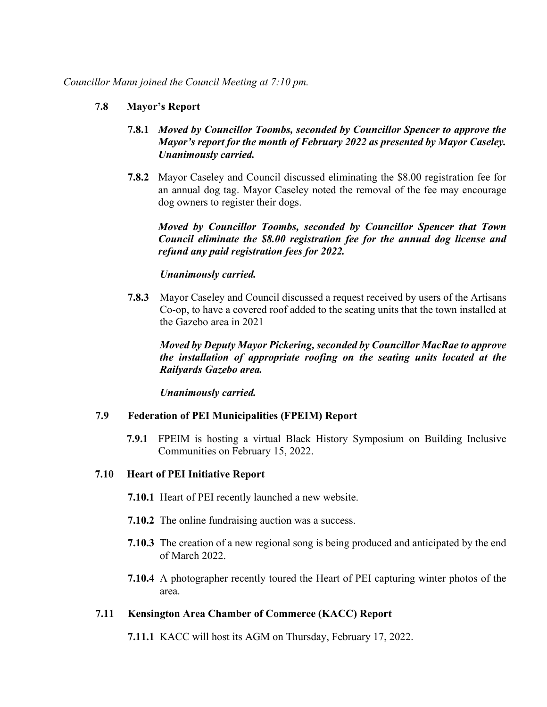## **7.8 Mayor's Report**

- **7.8.1** *Moved by Councillor Toombs, seconded by Councillor Spencer to approve the Mayor's report for the month of February 2022 as presented by Mayor Caseley. Unanimously carried.*
- **7.8.2** Mayor Caseley and Council discussed eliminating the \$8.00 registration fee for an annual dog tag. Mayor Caseley noted the removal of the fee may encourage dog owners to register their dogs.

*Moved by Councillor Toombs, seconded by Councillor Spencer that Town Council eliminate the \$8.00 registration fee for the annual dog license and refund any paid registration fees for 2022.* 

## *Unanimously carried.*

**7.8.3** Mayor Caseley and Council discussed a request received by users of the Artisans Co-op, to have a covered roof added to the seating units that the town installed at the Gazebo area in 2021

*Moved by Deputy Mayor Pickering, seconded by Councillor MacRae to approve the installation of appropriate roofing on the seating units located at the Railyards Gazebo area.* 

*Unanimously carried.* 

### **7.9 Federation of PEI Municipalities (FPEIM) Report**

**7.9.1** FPEIM is hosting a virtual Black History Symposium on Building Inclusive Communities on February 15, 2022.

### **7.10 Heart of PEI Initiative Report**

- **7.10.1** Heart of PEI recently launched a new website.
- **7.10.2** The online fundraising auction was a success.
- **7.10.3** The creation of a new regional song is being produced and anticipated by the end of March 2022.
- **7.10.4** A photographer recently toured the Heart of PEI capturing winter photos of the area.

# **7.11 Kensington Area Chamber of Commerce (KACC) Report**

**7.11.1** KACC will host its AGM on Thursday, February 17, 2022.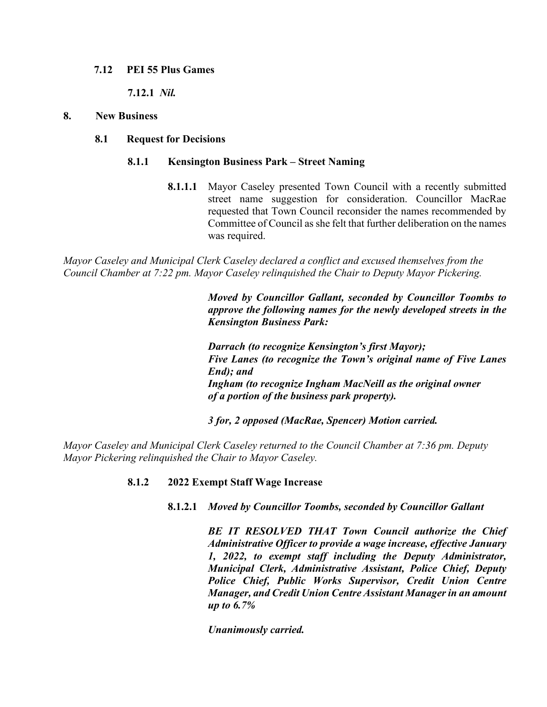#### **7.12 PEI 55 Plus Games**

**7.12.1** *Nil.*

#### **8. New Business**

#### **8.1 Request for Decisions**

#### **8.1.1 Kensington Business Park – Street Naming**

**8.1.1.1** Mayor Caseley presented Town Council with a recently submitted street name suggestion for consideration. Councillor MacRae requested that Town Council reconsider the names recommended by Committee of Council as she felt that further deliberation on the names was required.

*Mayor Caseley and Municipal Clerk Caseley declared a conflict and excused themselves from the Council Chamber at 7:22 pm. Mayor Caseley relinquished the Chair to Deputy Mayor Pickering.*

> *Moved by Councillor Gallant, seconded by Councillor Toombs to approve the following names for the newly developed streets in the Kensington Business Park:*

> *Darrach (to recognize Kensington's first Mayor); Five Lanes (to recognize the Town's original name of Five Lanes End); and Ingham (to recognize Ingham MacNeill as the original owner of a portion of the business park property).*

*3 for, 2 opposed (MacRae, Spencer) Motion carried.* 

*Mayor Caseley and Municipal Clerk Caseley returned to the Council Chamber at 7:36 pm. Deputy Mayor Pickering relinquished the Chair to Mayor Caseley.*

### **8.1.2 2022 Exempt Staff Wage Increase**

### **8.1.2.1** *Moved by Councillor Toombs, seconded by Councillor Gallant*

*BE IT RESOLVED THAT Town Council authorize the Chief Administrative Officer to provide a wage increase, effective January 1, 2022, to exempt staff including the Deputy Administrator, Municipal Clerk, Administrative Assistant, Police Chief, Deputy Police Chief, Public Works Supervisor, Credit Union Centre Manager, and Credit Union Centre Assistant Manager in an amount up to 6.7%*

*Unanimously carried.*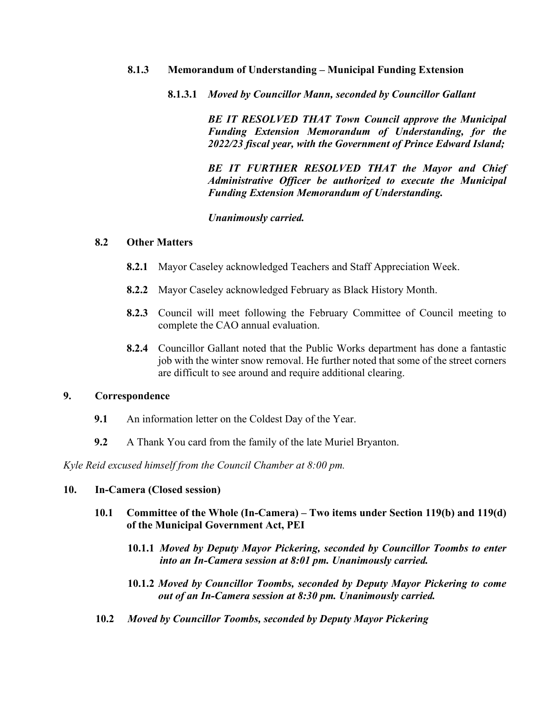### **8.1.3 Memorandum of Understanding – Municipal Funding Extension**

**8.1.3.1** *Moved by Councillor Mann, seconded by Councillor Gallant* 

*BE IT RESOLVED THAT Town Council approve the Municipal Funding Extension Memorandum of Understanding, for the 2022/23 fiscal year, with the Government of Prince Edward Island;*

*BE IT FURTHER RESOLVED THAT the Mayor and Chief Administrative Officer be authorized to execute the Municipal Funding Extension Memorandum of Understanding.*

*Unanimously carried.* 

#### **8.2 Other Matters**

- **8.2.1** Mayor Caseley acknowledged Teachers and Staff Appreciation Week.
- **8.2.2** Mayor Caseley acknowledged February as Black History Month.
- **8.2.3** Council will meet following the February Committee of Council meeting to complete the CAO annual evaluation.
- **8.2.4** Councillor Gallant noted that the Public Works department has done a fantastic job with the winter snow removal. He further noted that some of the street corners are difficult to see around and require additional clearing.

#### **9. Correspondence**

- **9.1** An information letter on the Coldest Day of the Year.
- **9.2** A Thank You card from the family of the late Muriel Bryanton.

*Kyle Reid excused himself from the Council Chamber at 8:00 pm.*

#### **10. In-Camera (Closed session)**

- **10.1 Committee of the Whole (In-Camera) – Two items under Section 119(b) and 119(d) of the Municipal Government Act, PEI**
	- **10.1.1** *Moved by Deputy Mayor Pickering, seconded by Councillor Toombs to enter into an In-Camera session at 8:01 pm. Unanimously carried.*
	- **10.1.2** *Moved by Councillor Toombs, seconded by Deputy Mayor Pickering to come out of an In-Camera session at 8:30 pm. Unanimously carried.*
- **10.2** *Moved by Councillor Toombs, seconded by Deputy Mayor Pickering*